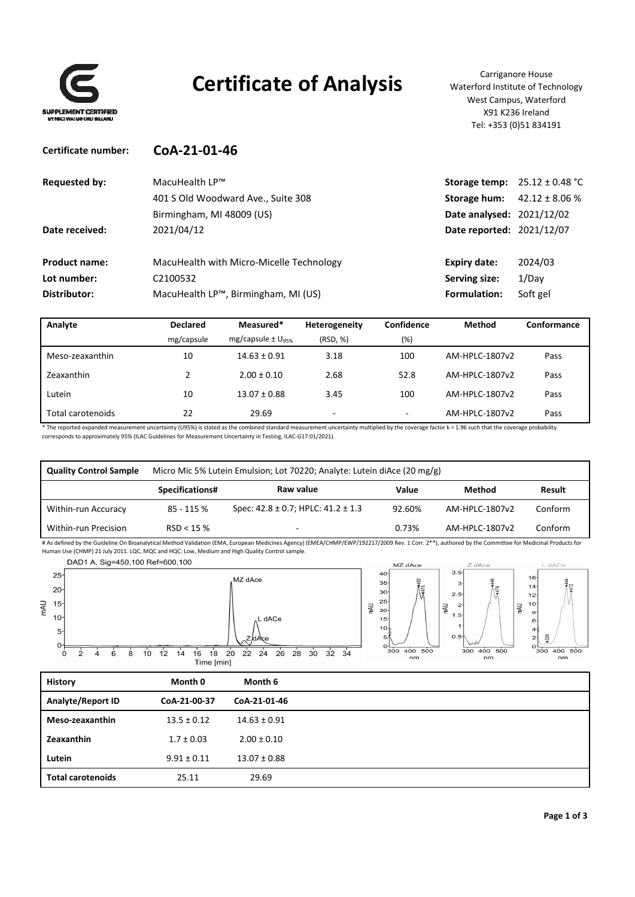

## **Certificate of Analysis** Carriganore House

Waterford Institute of Technology West Campus, Waterford X91 K236 Ireland Tel: +353 (0)51 834191

| Certificate number:  | CoA-21-01-46                             |                                  |                                   |
|----------------------|------------------------------------------|----------------------------------|-----------------------------------|
| <b>Requested by:</b> | MacuHealth LP™                           |                                  | Storage temp: $25.12 \pm 0.48$ °C |
|                      | 401 S Old Woodward Ave., Suite 308       | Storage hum:                     | $42.12 \pm 8.06$ %                |
|                      | Birmingham, MI 48009 (US)                | Date analysed: 2021/12/02        |                                   |
| Date received:       | 2021/04/12                               | <b>Date reported: 2021/12/07</b> |                                   |
| <b>Product name:</b> | MacuHealth with Micro-Micelle Technology | Expiry date:                     | 2024/03                           |
| Lot number:          | C2100532                                 | Serving size:                    | 1/Day                             |
| Distributor:         | MacuHealth LP™, Birmingham, MI (US)      | Formulation:                     | Soft gel                          |

| Analyte           | <b>Declared</b> | Measured*                         | Heterogeneity            | Confidence | Method         | Conformance |
|-------------------|-----------------|-----------------------------------|--------------------------|------------|----------------|-------------|
|                   | mg/capsule      | mg/capsule $\pm$ U <sub>95%</sub> | (RSD, %)                 | (%)        |                |             |
| Meso-zeaxanthin   | 10              | $14.63 \pm 0.91$                  | 3.18                     | 100        | AM-HPLC-1807v2 | Pass        |
| Zeaxanthin        |                 | $2.00 \pm 0.10$                   | 2.68                     | 52.8       | AM-HPLC-1807v2 | Pass        |
| Lutein            | 10              | $13.07 \pm 0.88$                  | 3.45                     | 100        | AM-HPLC-1807v2 | Pass        |
| Total carotenoids | 22              | 29.69                             | $\overline{\phantom{0}}$ | ۰          | AM-HPLC-1807v2 | Pass        |

\* The reported expanded measurement uncertainty (U95%) is stated as the combined standard measurement uncertainty multiplied by the coverage factor k = 1.96 such that the coverage probability corresponds to approximately 95% (ILAC Guidelines for Measurement Uncertainty in Testing, ILAC‐G17:01/2021).

| <b>Quality Control Sample</b> | Micro Mic 5% Lutein Emulsion; Lot 70220; Analyte: Lutein diAce (20 mg/g) |                                             |        |                |               |
|-------------------------------|--------------------------------------------------------------------------|---------------------------------------------|--------|----------------|---------------|
|                               | Specifications#                                                          | Raw value                                   | Value  | Method         | <b>Result</b> |
| Within-run Accuracy           | 85 - 115 %                                                               | Spec: $42.8 \pm 0.7$ ; HPLC: $41.2 \pm 1.3$ | 92.60% | AM-HPLC-1807v2 | Conform       |
| Within-run Precision          | RSD < 15%                                                                | -                                           | 0.73%  | AM-HPLC-1807v2 | Conform       |

# As defined by the Guideline On Bioanalytical Method Validation (EMA, European Medicines Agency) (EMEA/CHMP/EWP/192217/2009 Rev. 1 Corr. 2\*\*), authored by the Committee for Medicinal Products for Human Use (CHMP) 21 July 2011. LQC, MQC and HQC: Low, Medium and High Quality Control sample.

DAD1 A, Sig=450,100 Ref=600,100



| <b>History</b>           | Month 0         | Month 6          |  |
|--------------------------|-----------------|------------------|--|
| Analyte/Report ID        | CoA-21-00-37    | CoA-21-01-46     |  |
| Meso-zeaxanthin          | $13.5 \pm 0.12$ | $14.63 \pm 0.91$ |  |
| Zeaxanthin               | $1.7 \pm 0.03$  | $2.00 \pm 0.10$  |  |
| Lutein                   | $9.91 \pm 0.11$ | $13.07 \pm 0.88$ |  |
| <b>Total carotenoids</b> | 25.11           | 29.69            |  |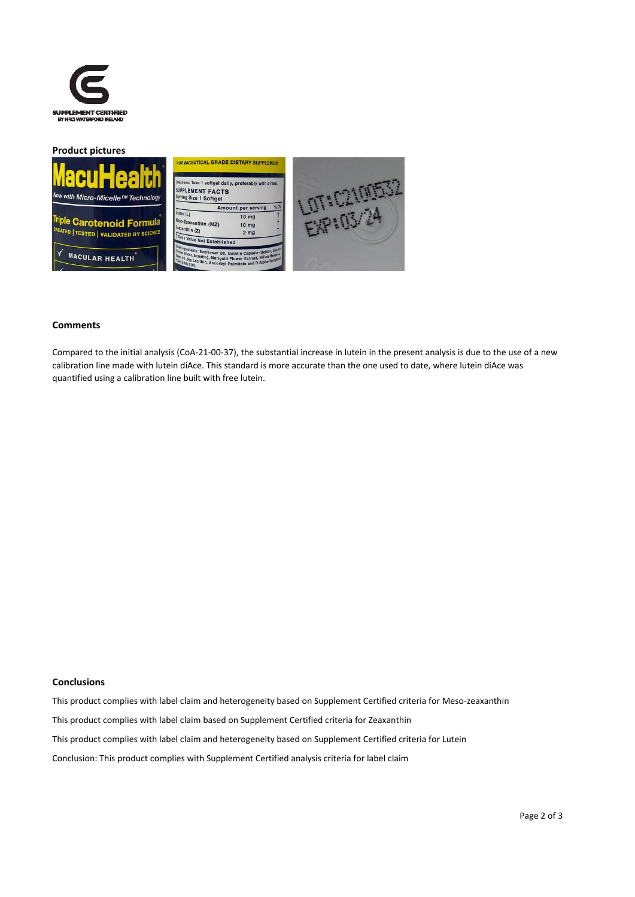

#### **Product pictures**







#### **Comments**

Compared to the initial analysis (CoA‐21‐00‐37), the substantial increase in lutein in the present analysis is due to the use of a new calibration line made with lutein diAce. This standard is more accurate than the one used to date, where lutein diAce was quantified using a calibration line built with free lutein.

#### **Conclusions**

This product complies with label claim and heterogeneity based on Supplement Certified criteria for Meso‐zeaxanthin This product complies with label claim based on Supplement Certified criteria for Zeaxanthin This product complies with label claim and heterogeneity based on Supplement Certified criteria for Lutein Conclusion: This product complies with Supplement Certified analysis criteria for label claim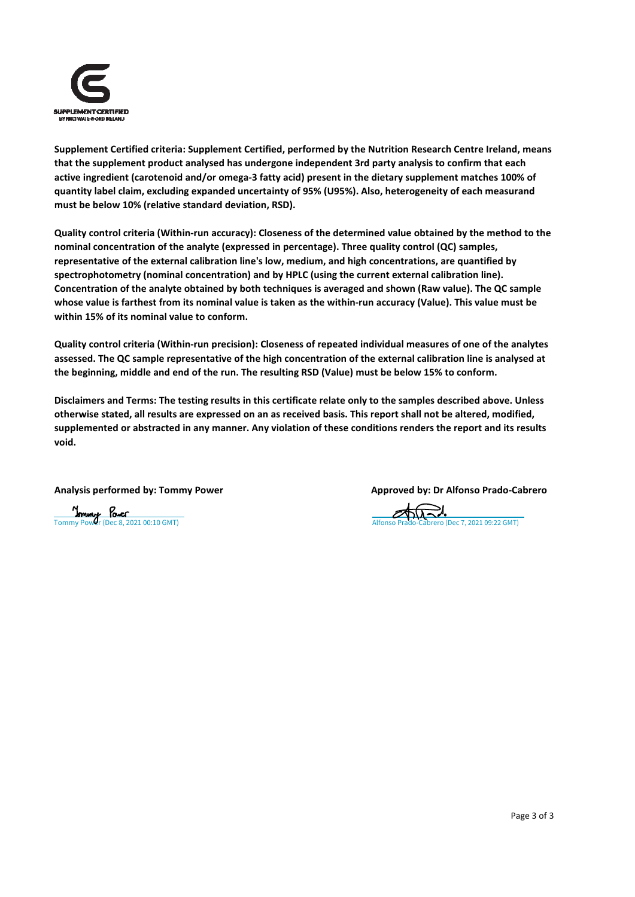

**Supplement Certified criteria: Supplement Certified, performed by the Nutrition Research Centre Ireland, means that the supplement product analysed has undergone independent 3rd party analysis to confirm that each** active ingredient (carotenoid and/or omega-3 fatty acid) present in the dietary supplement matches 100% of **quantity label claim, excluding expanded uncertainty of 95% (U95%). Also, heterogeneity of each measurand must be below 10% (relative standard deviation, RSD).**

Quality control criteria (Within-run accuracy): Closeness of the determined value obtained by the method to the **nominal concentration of the analyte (expressed in percentage). Three quality control (QC) samples, representative of the external calibration line's low, medium, and high concentrations, are quantified by spectrophotometry (nominal concentration) and by HPLC (using the current external calibration line). Concentration of the analyte obtained by both techniques is averaged and shown (Raw value). The QC sample** whose value is farthest from its nominal value is taken as the within-run accuracy (Value). This value must be **within 15% of its nominal value to conform.**

Quality control criteria (Within-run precision): Closeness of repeated individual measures of one of the analytes assessed. The QC sample representative of the high concentration of the external calibration line is analysed at **the beginning, middle and end of the run. The resulting RSD (Value) must be below 15% to conform.**

Disclaimers and Terms: The testing results in this certificate relate only to the samples described above. Unless otherwise stated, all results are expressed on an as received basis. This report shall not be altered, modified, supplemented or abstracted in any manner. Any violation of these conditions renders the report and its results **void.**

**Analysis performed by: Tommy Power Approved by: Dr Alfonso Prado‐Cabrero**

[Tommy Power \(Dec 8, 2021 00:10 GMT\)](https://eu2.documents.adobe.com/verifier?tx=CBJCHBCAABAAszvBJqZgM9Nd0K65w6GE_ElMrYUatnoc)  $\overline{A}$  [Alfonso Prado-Cabrero \(Dec 7, 2021 09:22 GMT\)](https://eu2.documents.adobe.com/verifier?tx=CBJCHBCAABAAszvBJqZgM9Nd0K65w6GE_ElMrYUatnoc)